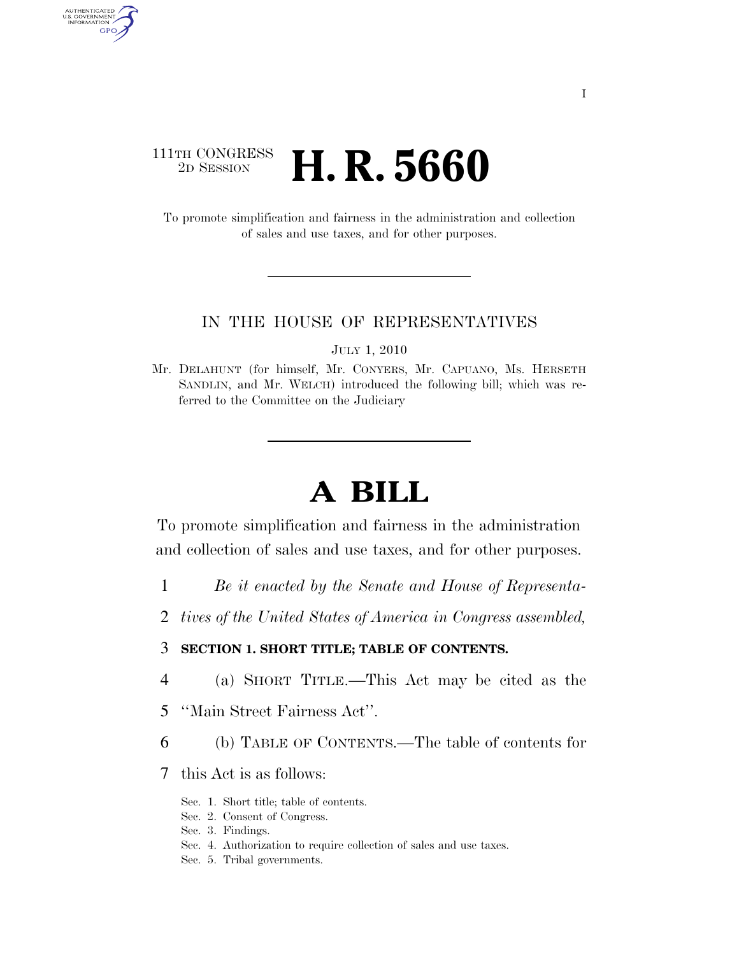### $\begin{array}{c} \textbf{111TH CONGRESS} \\ \textbf{2D} \textbf{Session} \end{array}$ 2D SESSION **H. R. 5660**

AUTHENTICATED U.S. GOVERNMENT GPO

> To promote simplification and fairness in the administration and collection of sales and use taxes, and for other purposes.

#### IN THE HOUSE OF REPRESENTATIVES

JULY 1, 2010

Mr. DELAHUNT (for himself, Mr. CONYERS, Mr. CAPUANO, Ms. HERSETH SANDLIN, and Mr. WELCH) introduced the following bill; which was referred to the Committee on the Judiciary

# **A BILL**

To promote simplification and fairness in the administration and collection of sales and use taxes, and for other purposes.

- 1 *Be it enacted by the Senate and House of Representa-*
- 2 *tives of the United States of America in Congress assembled,*

#### 3 **SECTION 1. SHORT TITLE; TABLE OF CONTENTS.**

- 4 (a) SHORT TITLE.—This Act may be cited as the
- 5 ''Main Street Fairness Act''.
- 6 (b) TABLE OF CONTENTS.—The table of contents for
- 7 this Act is as follows:
	- Sec. 1. Short title; table of contents.
	- Sec. 2. Consent of Congress.
	- Sec. 3. Findings.
	- Sec. 4. Authorization to require collection of sales and use taxes.
	- Sec. 5. Tribal governments.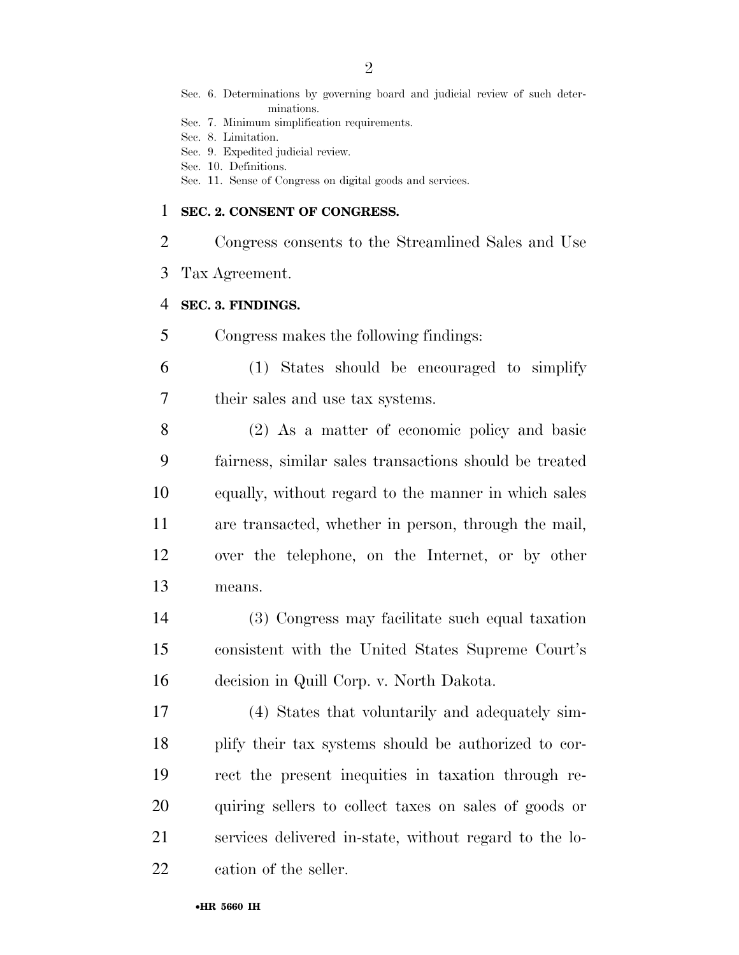- Sec. 6. Determinations by governing board and judicial review of such determinations.
- Sec. 7. Minimum simplification requirements.
- Sec. 8. Limitation.
- Sec. 9. Expedited judicial review.
- Sec. 10. Definitions.
- Sec. 11. Sense of Congress on digital goods and services.

#### **SEC. 2. CONSENT OF CONGRESS.**

- Congress consents to the Streamlined Sales and Use
- Tax Agreement.

#### **SEC. 3. FINDINGS.**

- Congress makes the following findings:
- (1) States should be encouraged to simplify their sales and use tax systems.
- (2) As a matter of economic policy and basic fairness, similar sales transactions should be treated equally, without regard to the manner in which sales are transacted, whether in person, through the mail, over the telephone, on the Internet, or by other means.
- (3) Congress may facilitate such equal taxation consistent with the United States Supreme Court's decision in Quill Corp. v. North Dakota.
- (4) States that voluntarily and adequately sim- plify their tax systems should be authorized to cor- rect the present inequities in taxation through re- quiring sellers to collect taxes on sales of goods or services delivered in-state, without regard to the lo-cation of the seller.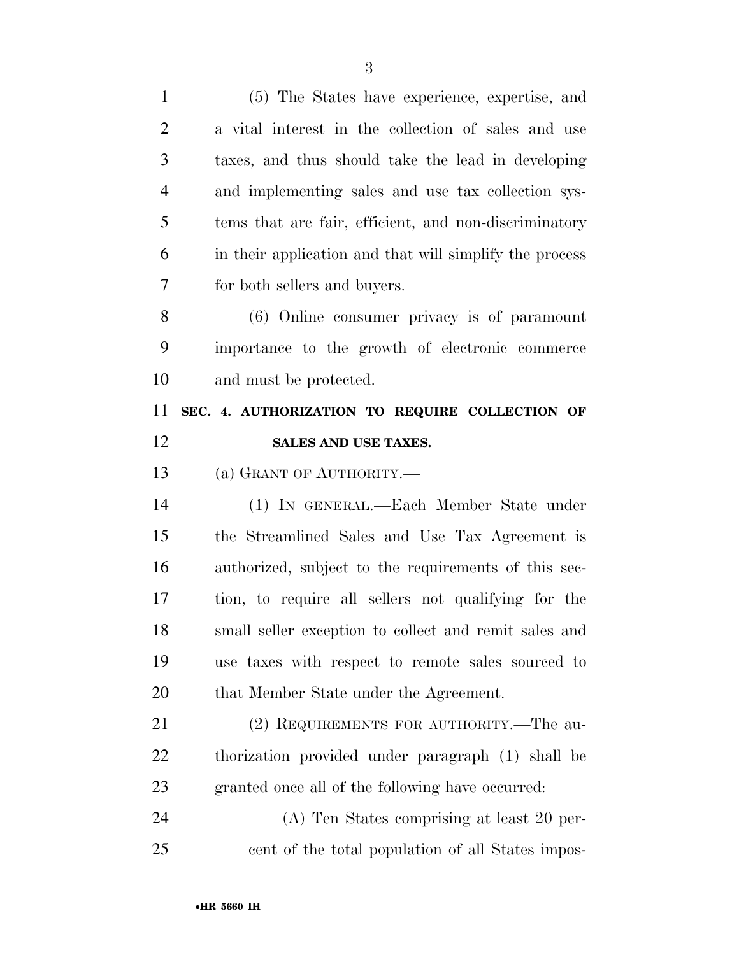| $\mathbf{1}$   | (5) The States have experience, expertise, and          |
|----------------|---------------------------------------------------------|
| $\overline{2}$ | a vital interest in the collection of sales and use     |
| 3              | taxes, and thus should take the lead in developing      |
| $\overline{4}$ | and implementing sales and use tax collection sys-      |
| 5              | tems that are fair, efficient, and non-discriminatory   |
| 6              | in their application and that will simplify the process |
| 7              | for both sellers and buyers.                            |
| 8              | (6) Online consumer privacy is of paramount             |
| 9              | importance to the growth of electronic commerce         |
| 10             | and must be protected.                                  |
| 11             | SEC. 4. AUTHORIZATION TO REQUIRE COLLECTION OF          |
| 12             | SALES AND USE TAXES.                                    |
|                |                                                         |
| 13             | (a) GRANT OF AUTHORITY.                                 |
| 14             | (1) IN GENERAL.—Each Member State under                 |
| 15             | the Streamlined Sales and Use Tax Agreement is          |
| 16             | authorized, subject to the requirements of this sec-    |
| 17             | tion, to require all sellers not qualifying for the     |
| 18             | small seller exception to collect and remit sales and   |
| 19             | use taxes with respect to remote sales sourced to       |
| 20             | that Member State under the Agreement.                  |
| 21             | (2) REQUIREMENTS FOR AUTHORITY.—The au-                 |
| 22             | thorization provided under paragraph (1) shall be       |
| 23             | granted once all of the following have occurred:        |
| 24             | (A) Ten States comprising at least 20 per-              |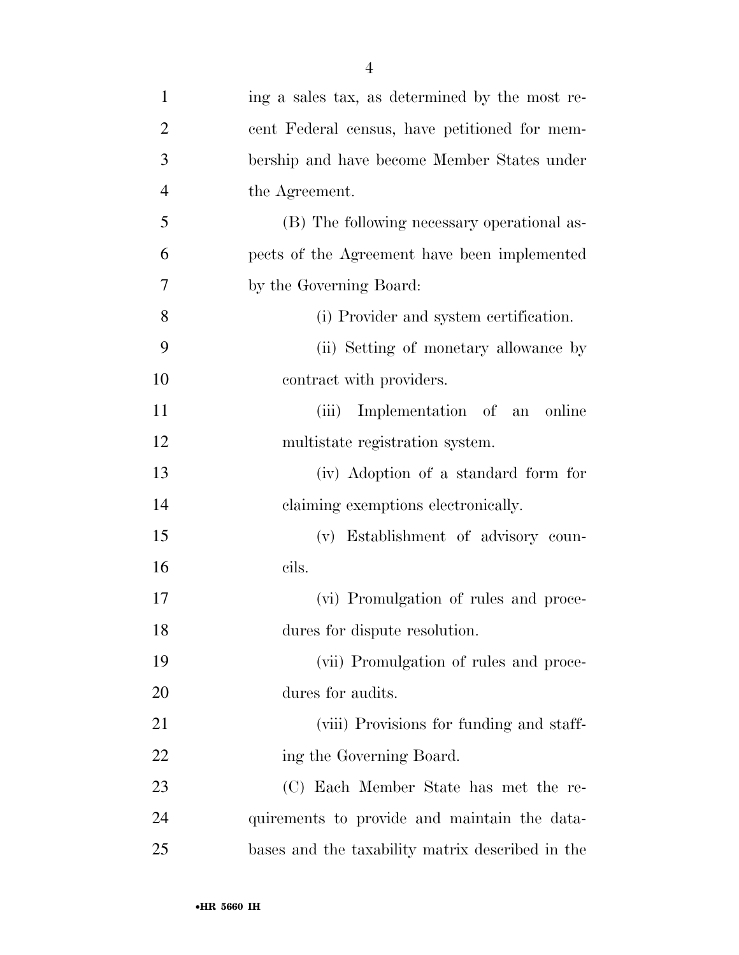| $\mathbf{1}$   | ing a sales tax, as determined by the most re-   |
|----------------|--------------------------------------------------|
| $\overline{2}$ | cent Federal census, have petitioned for mem-    |
| 3              | bership and have become Member States under      |
| $\overline{4}$ | the Agreement.                                   |
| 5              | (B) The following necessary operational as-      |
| 6              | pects of the Agreement have been implemented     |
| 7              | by the Governing Board:                          |
| 8              | (i) Provider and system certification.           |
| 9              | (ii) Setting of monetary allowance by            |
| 10             | contract with providers.                         |
| 11             | Implementation of an online<br>(iii)             |
| 12             | multistate registration system.                  |
| 13             | (iv) Adoption of a standard form for             |
| 14             | claiming exemptions electronically.              |
| 15             | (v) Establishment of advisory coun-              |
| 16             | cils.                                            |
| 17             | (vi) Promulgation of rules and proce-            |
| 18             | dures for dispute resolution.                    |
| 19             | (vii) Promulgation of rules and proce-           |
| 20             | dures for audits.                                |
| 21             | (viii) Provisions for funding and staff-         |
| 22             | ing the Governing Board.                         |
| 23             | (C) Each Member State has met the re-            |
| 24             | quirements to provide and maintain the data-     |
| 25             | bases and the taxability matrix described in the |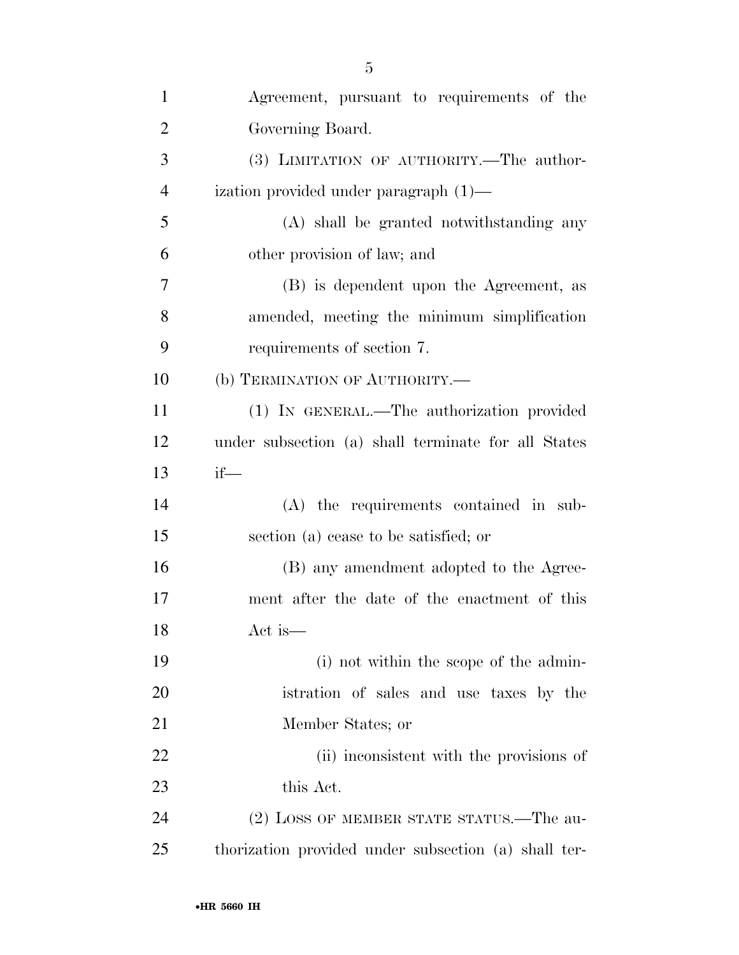| $\mathbf{1}$   | Agreement, pursuant to requirements of the           |
|----------------|------------------------------------------------------|
| $\overline{2}$ | Governing Board.                                     |
| 3              | (3) LIMITATION OF AUTHORITY.—The author-             |
| $\overline{4}$ | ization provided under paragraph $(1)$ —             |
| 5              | (A) shall be granted notwithstanding any             |
| 6              | other provision of law; and                          |
| 7              | (B) is dependent upon the Agreement, as              |
| 8              | amended, meeting the minimum simplification          |
| 9              | requirements of section 7.                           |
| 10             | (b) TERMINATION OF AUTHORITY.—                       |
| 11             | (1) IN GENERAL.—The authorization provided           |
| 12             | under subsection (a) shall terminate for all States  |
| 13             | $if$ —                                               |
| 14             | (A) the requirements contained in sub-               |
| 15             | section (a) cease to be satisfied; or                |
| 16             | (B) any amendment adopted to the Agree-              |
| 17             | ment after the date of the enactment of this         |
| 18             | Act is—                                              |
| 19             | (i) not within the scope of the admin-               |
| 20             | istration of sales and use taxes by the              |
| 21             | Member States; or                                    |
| 22             | (ii) inconsistent with the provisions of             |
| 23             | this Act.                                            |
| 24             | (2) LOSS OF MEMBER STATE STATUS.—The au-             |
| 25             | thorization provided under subsection (a) shall ter- |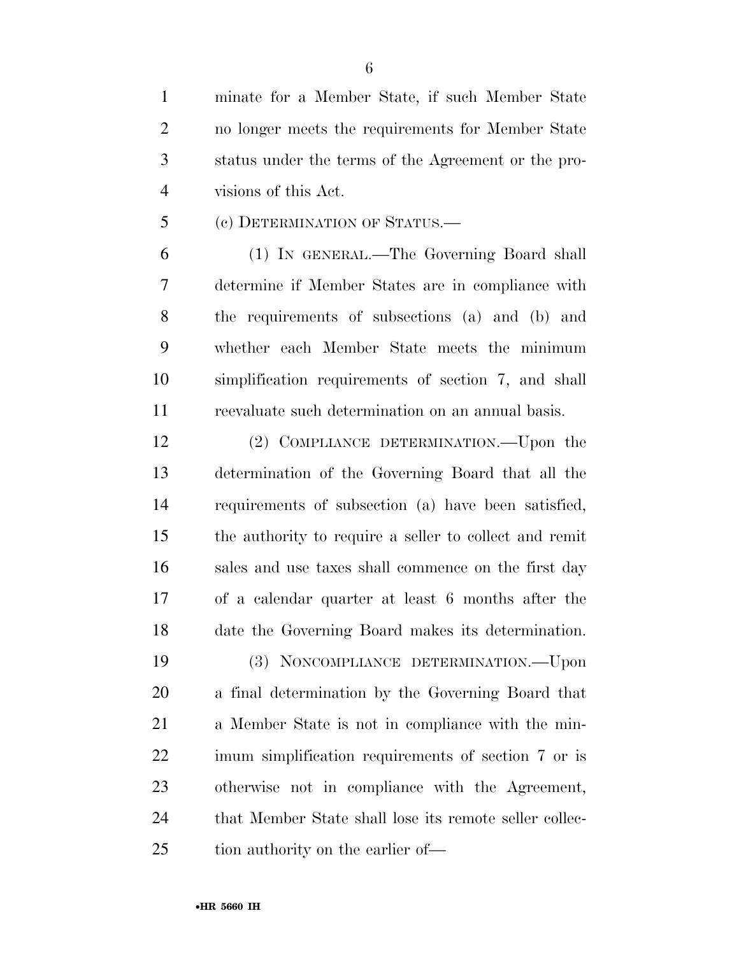minate for a Member State, if such Member State no longer meets the requirements for Member State status under the terms of the Agreement or the pro-visions of this Act.

(c) DETERMINATION OF STATUS.—

 (1) IN GENERAL.—The Governing Board shall determine if Member States are in compliance with the requirements of subsections (a) and (b) and whether each Member State meets the minimum simplification requirements of section 7, and shall reevaluate such determination on an annual basis.

 (2) COMPLIANCE DETERMINATION.—Upon the determination of the Governing Board that all the requirements of subsection (a) have been satisfied, the authority to require a seller to collect and remit sales and use taxes shall commence on the first day of a calendar quarter at least 6 months after the date the Governing Board makes its determination.

 (3) NONCOMPLIANCE DETERMINATION.—Upon a final determination by the Governing Board that a Member State is not in compliance with the min- imum simplification requirements of section 7 or is otherwise not in compliance with the Agreement, 24 that Member State shall lose its remote seller collec-25 tion authority on the earlier of—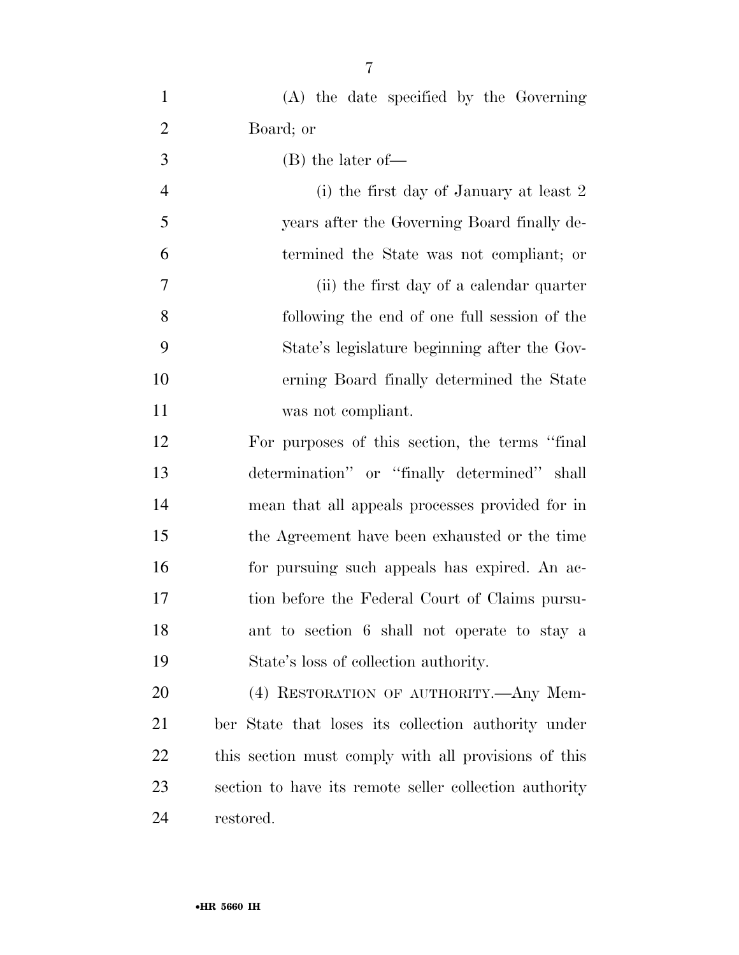| $\mathbf{1}$   | (A) the date specified by the Governing                |
|----------------|--------------------------------------------------------|
| $\overline{2}$ | Board; or                                              |
| 3              | $(B)$ the later of —                                   |
| $\overline{4}$ | (i) the first day of January at least 2                |
| 5              | years after the Governing Board finally de-            |
| 6              | termined the State was not compliant; or               |
| 7              | (ii) the first day of a calendar quarter               |
| 8              | following the end of one full session of the           |
| 9              | State's legislature beginning after the Gov-           |
| 10             | erning Board finally determined the State              |
| 11             | was not compliant.                                     |
| 12             | For purposes of this section, the terms "final"        |
| 13             | determination" or "finally determined" shall           |
| 14             | mean that all appeals processes provided for in        |
| 15             | the Agreement have been exhausted or the time          |
| 16             | for pursuing such appeals has expired. An ac-          |
| 17             | tion before the Federal Court of Claims pursu-         |
| 18             | ant to section 6 shall not operate to stay a           |
| 19             | State's loss of collection authority.                  |
| 20             | (4) RESTORATION OF AUTHORITY.—Any Mem-                 |
| 21             | ber State that loses its collection authority under    |
| 22             | this section must comply with all provisions of this   |
| 23             | section to have its remote seller collection authority |
| 24             | restored.                                              |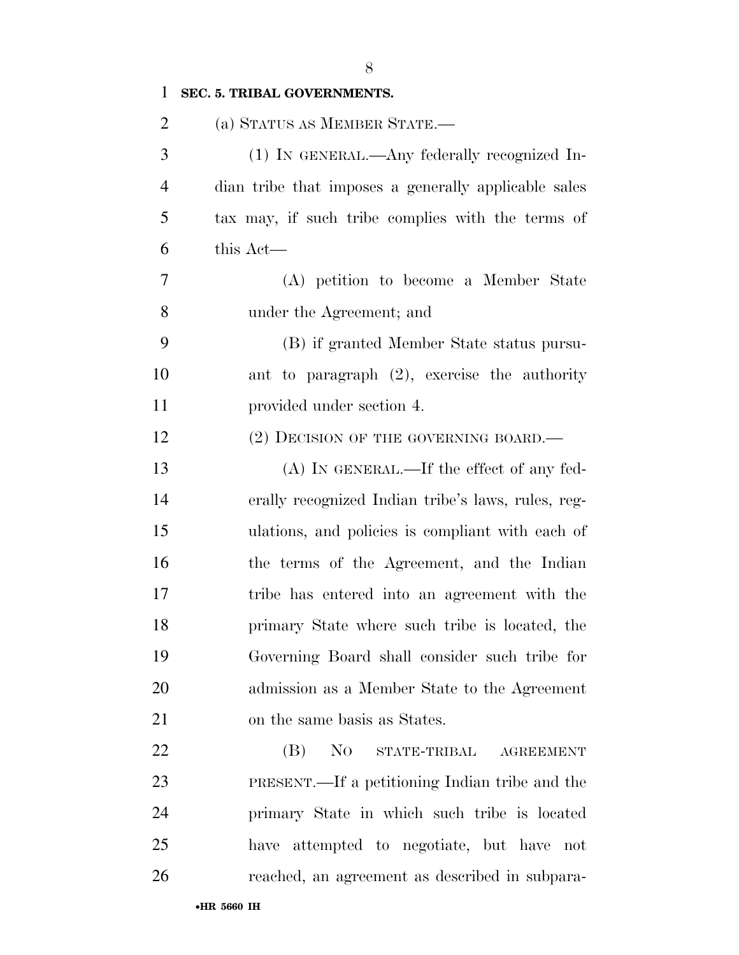| $\mathbf{1}$   | SEC. 5. TRIBAL GOVERNMENTS.                                                                                                                       |
|----------------|---------------------------------------------------------------------------------------------------------------------------------------------------|
| $\overline{2}$ | (a) STATUS AS MEMBER STATE.—                                                                                                                      |
| 3              | (1) IN GENERAL.—Any federally recognized In-                                                                                                      |
| $\overline{4}$ | dian tribe that imposes a generally applicable sales                                                                                              |
| 5              | tax may, if such tribe complies with the terms of                                                                                                 |
| 6              | this Act—                                                                                                                                         |
| 7              | (A) petition to become a Member State                                                                                                             |
| 8              | under the Agreement; and                                                                                                                          |
| 9              | (B) if granted Member State status pursu-                                                                                                         |
| 10             | ant to paragraph (2), exercise the authority                                                                                                      |
| 11             | provided under section 4.                                                                                                                         |
| 12             | (2) DECISION OF THE GOVERNING BOARD.—                                                                                                             |
| 13             | $(A)$ In GENERAL.—If the effect of any fed-                                                                                                       |
| 14             | erally recognized Indian tribe's laws, rules, reg-                                                                                                |
| 15             | ulations, and policies is compliant with each of                                                                                                  |
| 16             | the terms of the Agreement, and the Indian                                                                                                        |
| 17             | tribe has entered into an agreement with the                                                                                                      |
| 18             | primary State where such tribe is located, the                                                                                                    |
| 19             | Governing Board shall consider such tribe for                                                                                                     |
| 20             | admission as a Member State to the Agreement                                                                                                      |
| 21             | on the same basis as States.                                                                                                                      |
| 22             | (B)<br>N <sub>O</sub><br>$\begin{minipage}{.4\linewidth} \begin{tabular}{l} \bf \bf \color{green}{\bf STATE-TRIBAL} \end{tabular} \end{minipage}$ |
| 23             | PRESENT.—If a petitioning Indian tribe and the                                                                                                    |
| 24             | primary State in which such tribe is located                                                                                                      |
| 25             | have attempted to negotiate, but have not                                                                                                         |
| 26             | reached, an agreement as described in subpara-                                                                                                    |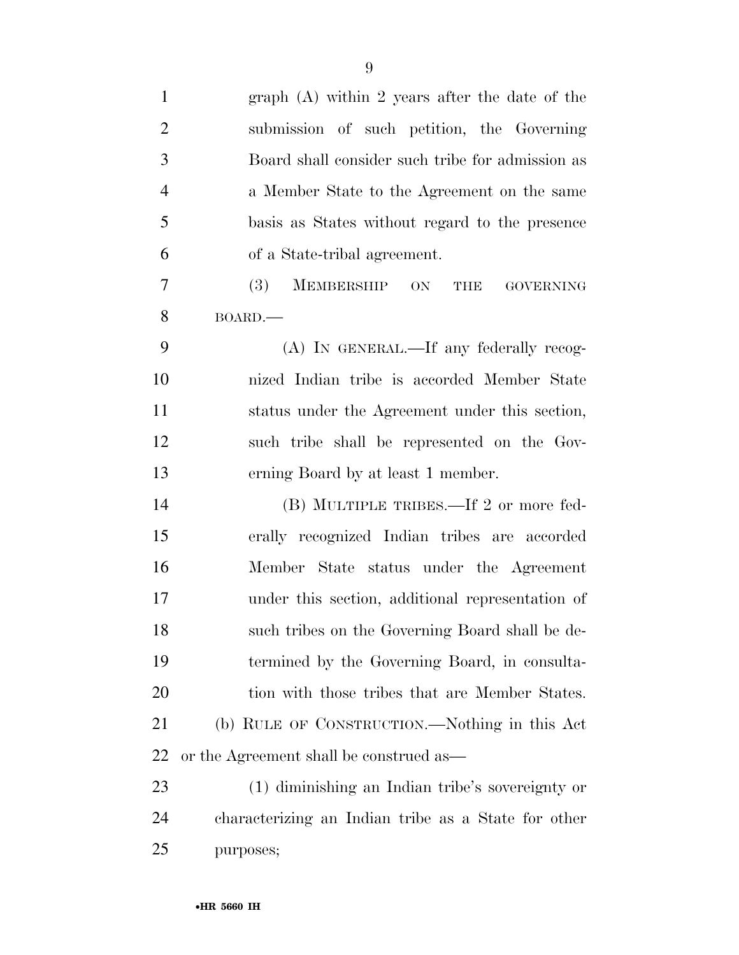| $\mathbf{1}$   | graph $(A)$ within 2 years after the date of the       |
|----------------|--------------------------------------------------------|
| $\overline{2}$ | submission of such petition, the Governing             |
| 3              | Board shall consider such tribe for admission as       |
| $\overline{4}$ | a Member State to the Agreement on the same            |
| 5              | basis as States without regard to the presence         |
| 6              | of a State-tribal agreement.                           |
| 7              | MEMBERSHIP ON<br><b>(3)</b><br><b>GOVERNING</b><br>THE |
| 8              | BOARD.                                                 |
| 9              | (A) IN GENERAL.—If any federally recog-                |
| 10             | nized Indian tribe is accorded Member State            |
| 11             | status under the Agreement under this section,         |
| 12             | such tribe shall be represented on the Gov-            |
| 13             | erning Board by at least 1 member.                     |
| 14             | (B) MULTIPLE TRIBES.—If 2 or more fed-                 |
| 15             | erally recognized Indian tribes are accorded           |
| 16             | Member State status under the Agreement                |
| 17             | under this section, additional representation of       |
| 18             | such tribes on the Governing Board shall be de-        |
| 19             | termined by the Governing Board, in consulta-          |
| 20             | tion with those tribes that are Member States.         |
| 21             | (b) RULE OF CONSTRUCTION.—Nothing in this Act          |
| 22             | or the Agreement shall be construed as—                |
| 23             | (1) diminishing an Indian tribe's sovereignty or       |
| 24             | characterizing an Indian tribe as a State for other    |
| 25             | purposes;                                              |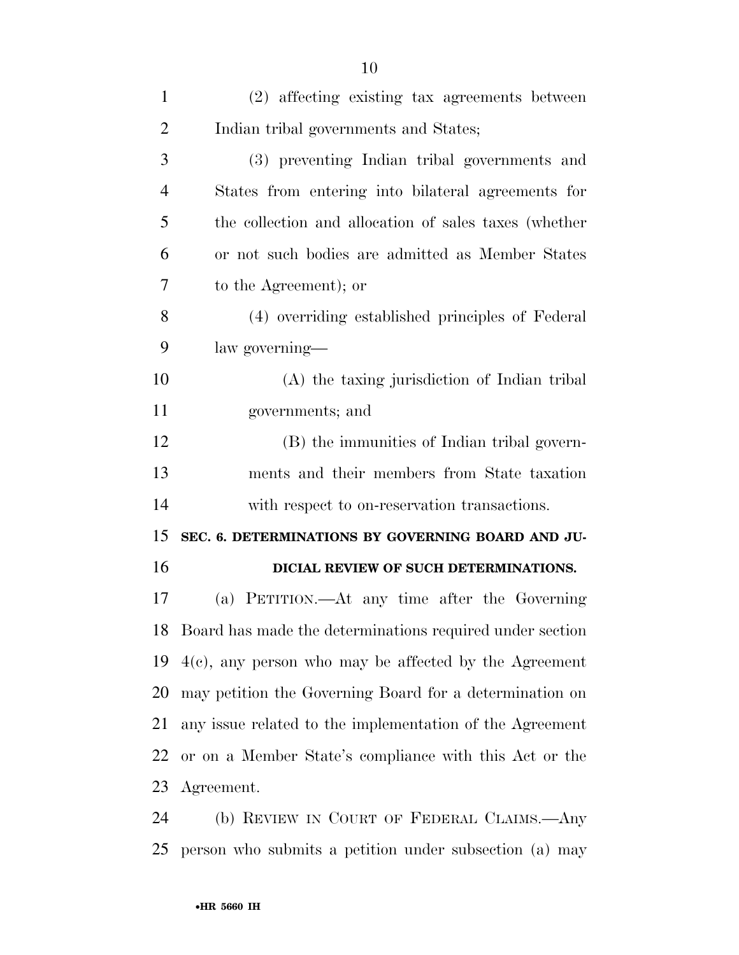| $\mathbf{1}$   | (2) affecting existing tax agreements between               |
|----------------|-------------------------------------------------------------|
| $\overline{2}$ | Indian tribal governments and States;                       |
| 3              | (3) preventing Indian tribal governments and                |
| $\overline{4}$ | States from entering into bilateral agreements for          |
| 5              | the collection and allocation of sales taxes (whether       |
| 6              | or not such bodies are admitted as Member States            |
| 7              | to the Agreement); or                                       |
| 8              | (4) overriding established principles of Federal            |
| 9              | law governing—                                              |
| 10             | (A) the taxing jurisdiction of Indian tribal                |
| 11             | governments; and                                            |
| 12             | (B) the immunities of Indian tribal govern-                 |
| 13             | ments and their members from State taxation                 |
| 14             | with respect to on-reservation transactions.                |
| 15             | SEC. 6. DETERMINATIONS BY GOVERNING BOARD AND JU-           |
| 16             | DICIAL REVIEW OF SUCH DETERMINATIONS.                       |
| 17             | (a) PETITION.—At any time after the Governing               |
|                | 18 Board has made the determinations required under section |
| 19             | $4(c)$ , any person who may be affected by the Agreement    |
| 20             | may petition the Governing Board for a determination on     |
| 21             | any issue related to the implementation of the Agreement    |
| 22             | or on a Member State's compliance with this Act or the      |
| 23             | Agreement.                                                  |
| 24             | (b) REVIEW IN COURT OF FEDERAL CLAIMS.—Any                  |
|                |                                                             |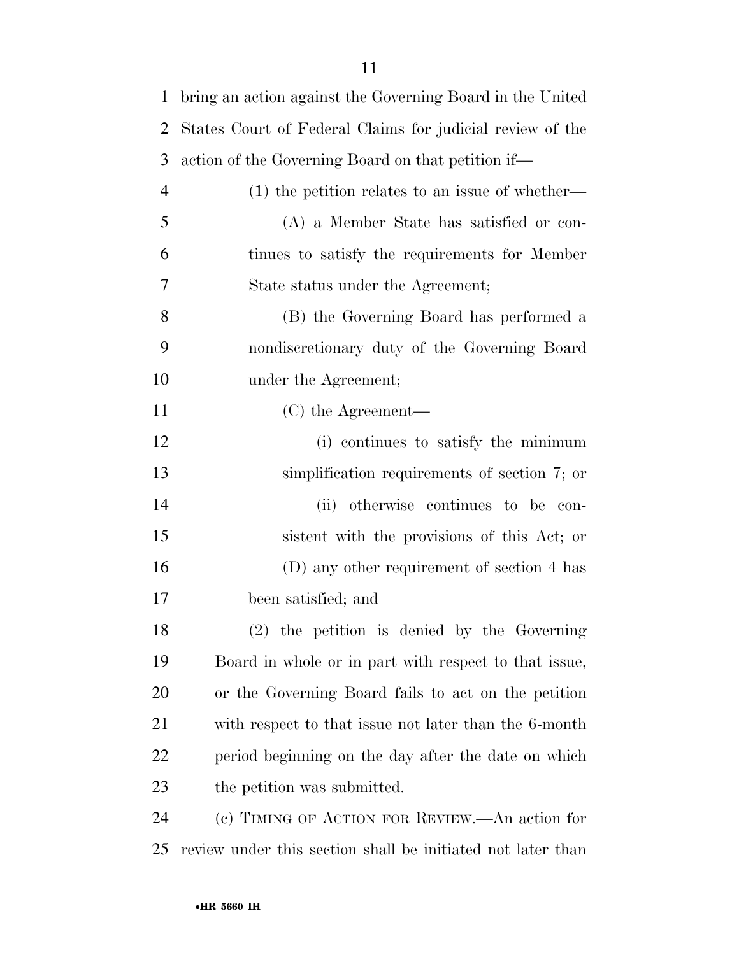| $\mathbf{1}$   | bring an action against the Governing Board in the United   |
|----------------|-------------------------------------------------------------|
| $\overline{2}$ | States Court of Federal Claims for judicial review of the   |
| 3              | action of the Governing Board on that petition if—          |
| $\overline{4}$ | $(1)$ the petition relates to an issue of whether—          |
| 5              | (A) a Member State has satisfied or con-                    |
| 6              | tinues to satisfy the requirements for Member               |
| 7              | State status under the Agreement;                           |
| 8              | (B) the Governing Board has performed a                     |
| 9              | nondiscretionary duty of the Governing Board                |
| 10             | under the Agreement;                                        |
| 11             | $(C)$ the Agreement—                                        |
| 12             | (i) continues to satisfy the minimum                        |
| 13             | simplification requirements of section 7; or                |
| 14             | otherwise continues to be con-<br>(ii)                      |
| 15             | sistent with the provisions of this Act; or                 |
| 16             | (D) any other requirement of section 4 has                  |
| 17             | been satisfied; and                                         |
| 18             | $(2)$ the petition is denied by the Governing               |
| 19             | Board in whole or in part with respect to that issue,       |
| 20             | or the Governing Board fails to act on the petition         |
| 21             | with respect to that issue not later than the 6-month       |
| 22             | period beginning on the day after the date on which         |
| 23             | the petition was submitted.                                 |
| 24             | (c) TIMING OF ACTION FOR REVIEW.—An action for              |
| 25             | review under this section shall be initiated not later than |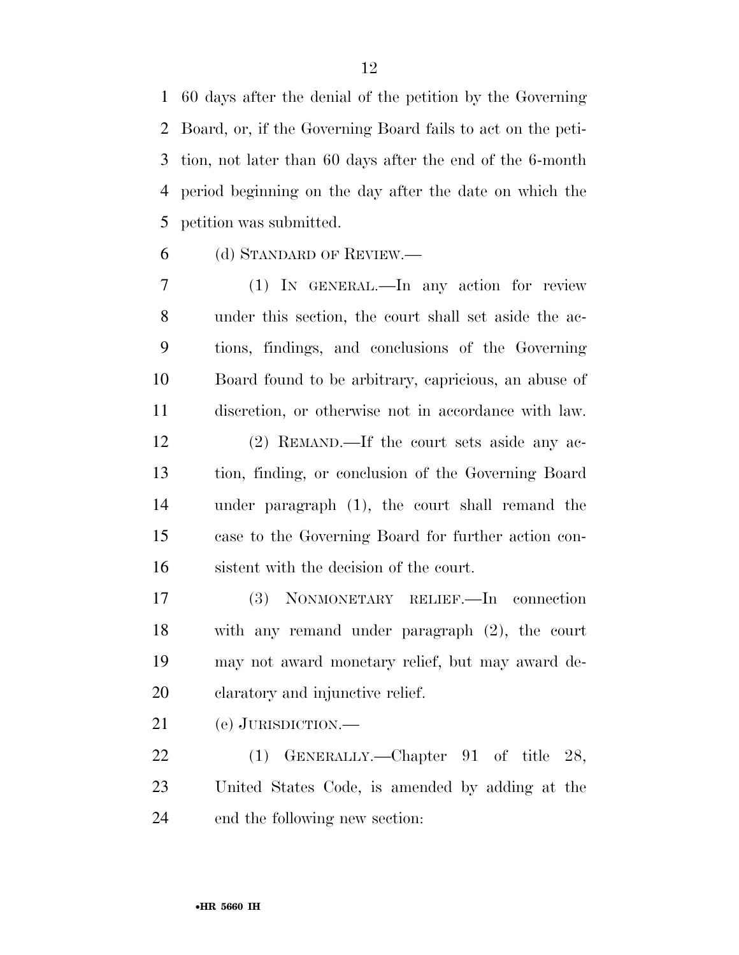60 days after the denial of the petition by the Governing Board, or, if the Governing Board fails to act on the peti- tion, not later than 60 days after the end of the 6-month period beginning on the day after the date on which the petition was submitted.

(d) STANDARD OF REVIEW.—

 (1) IN GENERAL.—In any action for review under this section, the court shall set aside the ac- tions, findings, and conclusions of the Governing Board found to be arbitrary, capricious, an abuse of discretion, or otherwise not in accordance with law.

 (2) REMAND.—If the court sets aside any ac- tion, finding, or conclusion of the Governing Board under paragraph (1), the court shall remand the case to the Governing Board for further action con-sistent with the decision of the court.

 (3) NONMONETARY RELIEF.—In connection with any remand under paragraph (2), the court may not award monetary relief, but may award de-claratory and injunctive relief.

(e) JURISDICTION.—

 (1) GENERALLY.—Chapter 91 of title 28, United States Code, is amended by adding at the end the following new section: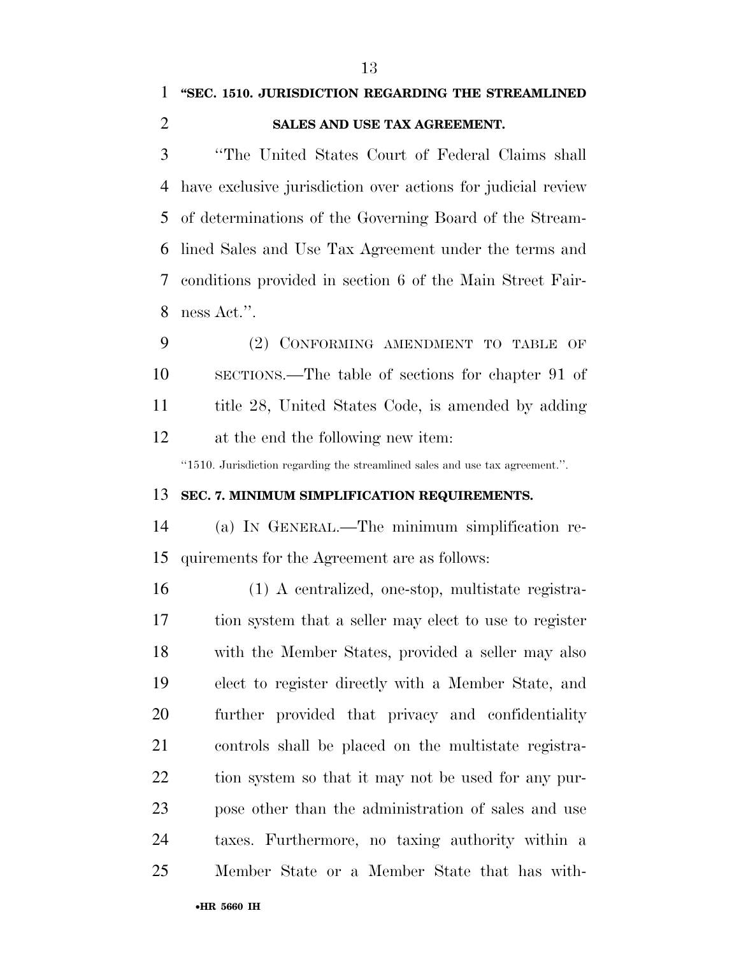#### **SALES AND USE TAX AGREEMENT.**

 ''The United States Court of Federal Claims shall have exclusive jurisdiction over actions for judicial review of determinations of the Governing Board of the Stream- lined Sales and Use Tax Agreement under the terms and conditions provided in section 6 of the Main Street Fair-ness Act.''.

 (2) CONFORMING AMENDMENT TO TABLE OF SECTIONS.—The table of sections for chapter 91 of title 28, United States Code, is amended by adding at the end the following new item:

''1510. Jurisdiction regarding the streamlined sales and use tax agreement.''.

#### **SEC. 7. MINIMUM SIMPLIFICATION REQUIREMENTS.**

 (a) IN GENERAL.—The minimum simplification re-quirements for the Agreement are as follows:

 (1) A centralized, one-stop, multistate registra- tion system that a seller may elect to use to register with the Member States, provided a seller may also elect to register directly with a Member State, and further provided that privacy and confidentiality controls shall be placed on the multistate registra- tion system so that it may not be used for any pur- pose other than the administration of sales and use taxes. Furthermore, no taxing authority within a Member State or a Member State that has with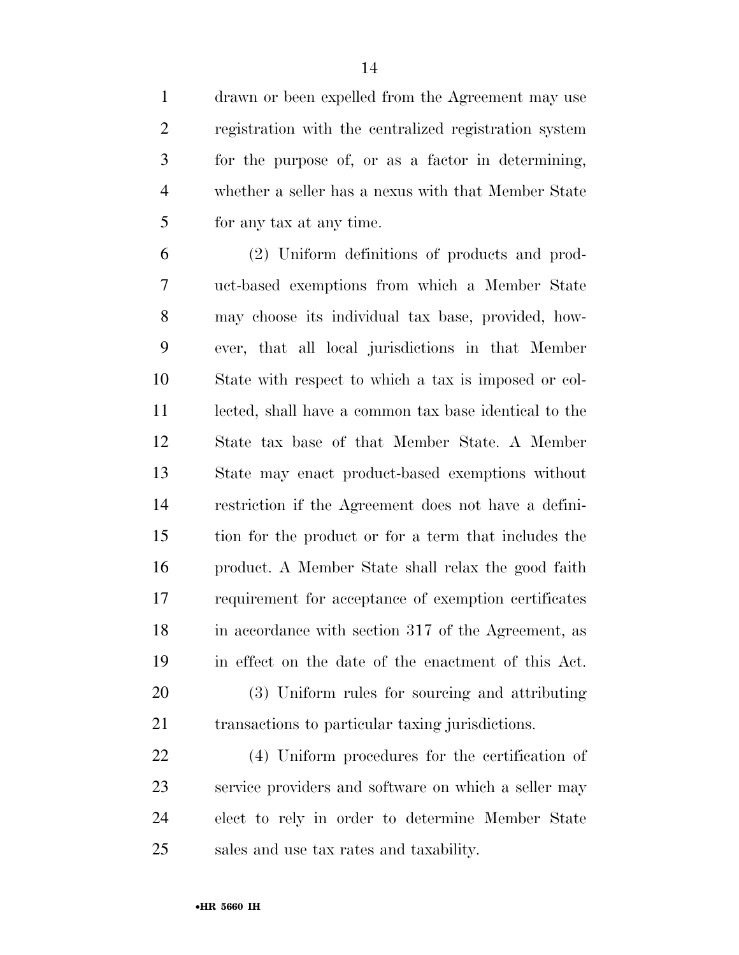drawn or been expelled from the Agreement may use registration with the centralized registration system for the purpose of, or as a factor in determining, whether a seller has a nexus with that Member State for any tax at any time.

 (2) Uniform definitions of products and prod- uct-based exemptions from which a Member State may choose its individual tax base, provided, how- ever, that all local jurisdictions in that Member State with respect to which a tax is imposed or col- lected, shall have a common tax base identical to the State tax base of that Member State. A Member State may enact product-based exemptions without restriction if the Agreement does not have a defini- tion for the product or for a term that includes the product. A Member State shall relax the good faith requirement for acceptance of exemption certificates 18 in accordance with section 317 of the Agreement, as in effect on the date of the enactment of this Act. (3) Uniform rules for sourcing and attributing transactions to particular taxing jurisdictions.

 (4) Uniform procedures for the certification of service providers and software on which a seller may elect to rely in order to determine Member State sales and use tax rates and taxability.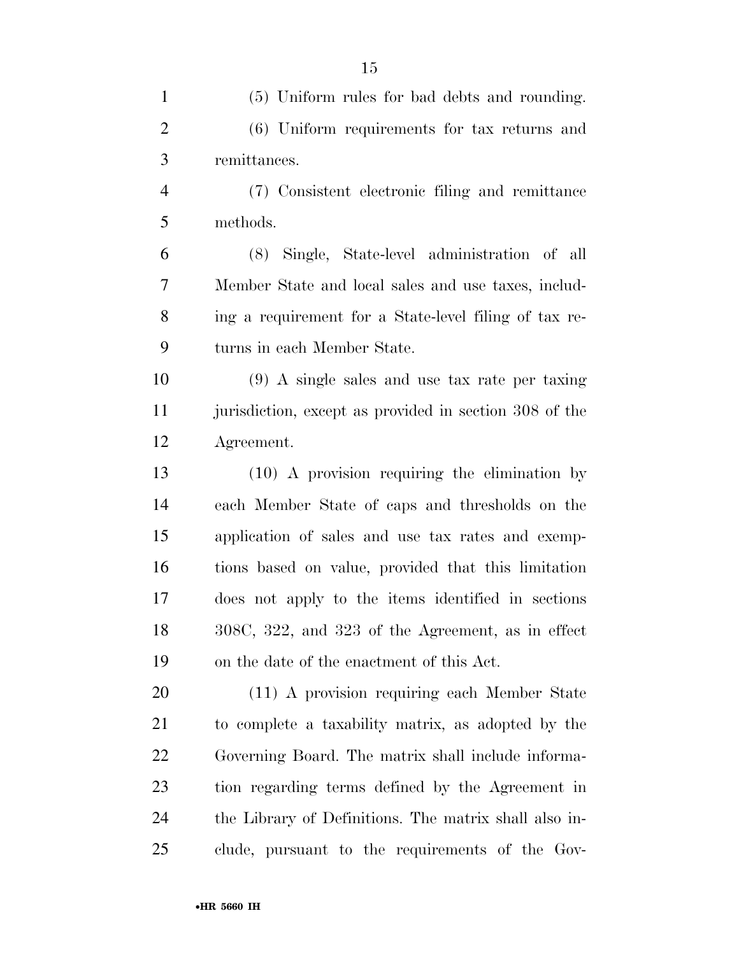| $\mathbf{1}$   | (5) Uniform rules for bad debts and rounding.          |
|----------------|--------------------------------------------------------|
| $\overline{2}$ | (6) Uniform requirements for tax returns and           |
| 3              | remittances.                                           |
| $\overline{4}$ | (7) Consistent electronic filing and remittance        |
| 5              | methods.                                               |
| 6              | (8) Single, State-level administration of all          |
| 7              | Member State and local sales and use taxes, includ-    |
| 8              | ing a requirement for a State-level filing of tax re-  |
| 9              | turns in each Member State.                            |
| 10             | $(9)$ A single sales and use tax rate per taxing       |
| 11             | jurisdiction, except as provided in section 308 of the |
| 12             | Agreement.                                             |
| 13             | $(10)$ A provision requiring the elimination by        |
| 14             | each Member State of caps and thresholds on the        |
| 15             | application of sales and use tax rates and exemp-      |
| 16             | tions based on value, provided that this limitation    |
| 17             | does not apply to the items identified in sections     |
| 18             | 308C, 322, and 323 of the Agreement, as in effect      |
| 19             | on the date of the enactment of this Act.              |
| 20             | (11) A provision requiring each Member State           |
| 21             | to complete a taxability matrix, as adopted by the     |
| 22             | Governing Board. The matrix shall include informa-     |
| 23             | tion regarding terms defined by the Agreement in       |
| 24             | the Library of Definitions. The matrix shall also in-  |
| 25             | clude, pursuant to the requirements of the Gov-        |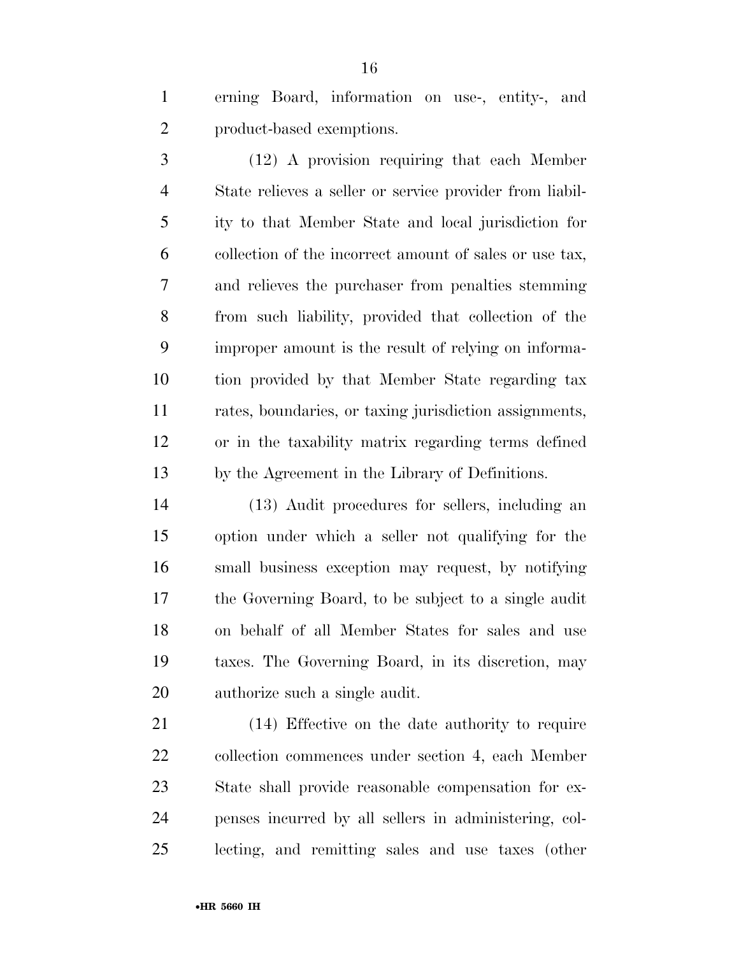erning Board, information on use-, entity-, and product-based exemptions.

 (12) A provision requiring that each Member State relieves a seller or service provider from liabil- ity to that Member State and local jurisdiction for collection of the incorrect amount of sales or use tax, and relieves the purchaser from penalties stemming from such liability, provided that collection of the improper amount is the result of relying on informa- tion provided by that Member State regarding tax rates, boundaries, or taxing jurisdiction assignments, or in the taxability matrix regarding terms defined by the Agreement in the Library of Definitions.

 (13) Audit procedures for sellers, including an option under which a seller not qualifying for the small business exception may request, by notifying the Governing Board, to be subject to a single audit on behalf of all Member States for sales and use taxes. The Governing Board, in its discretion, may authorize such a single audit.

 (14) Effective on the date authority to require collection commences under section 4, each Member State shall provide reasonable compensation for ex- penses incurred by all sellers in administering, col-lecting, and remitting sales and use taxes (other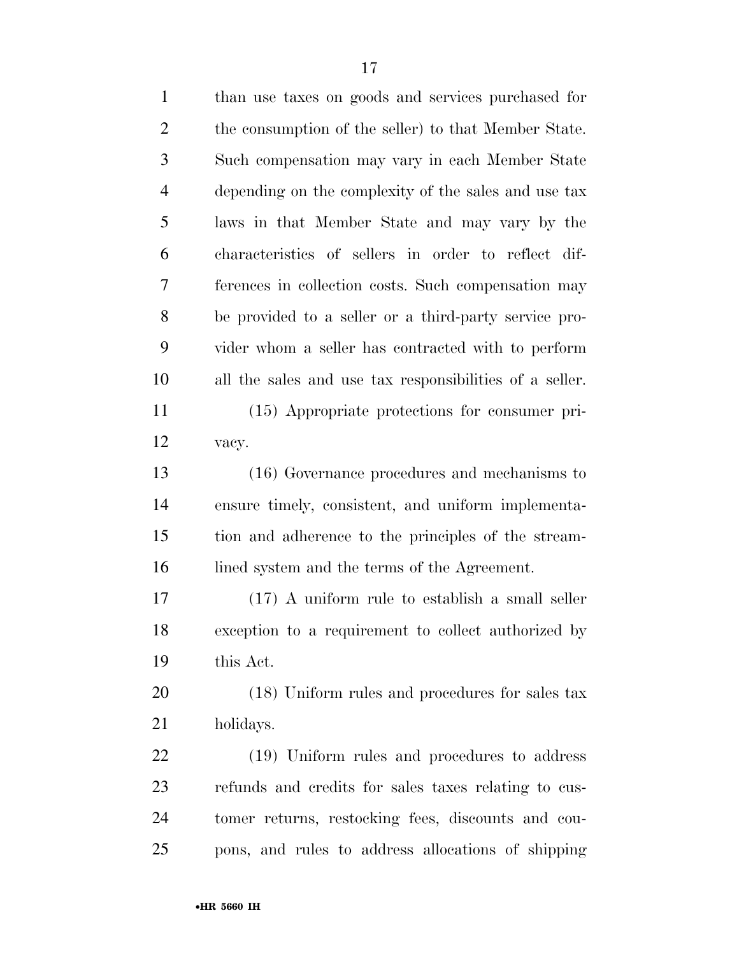| $\mathbf{1}$   | than use taxes on goods and services purchased for      |
|----------------|---------------------------------------------------------|
| $\overline{2}$ | the consumption of the seller) to that Member State.    |
| 3              | Such compensation may vary in each Member State         |
| $\overline{4}$ | depending on the complexity of the sales and use tax    |
| 5              | laws in that Member State and may vary by the           |
| 6              | characteristics of sellers in order to reflect dif-     |
| 7              | ferences in collection costs. Such compensation may     |
| 8              | be provided to a seller or a third-party service pro-   |
| 9              | vider whom a seller has contracted with to perform      |
| 10             | all the sales and use tax responsibilities of a seller. |
| 11             | (15) Appropriate protections for consumer pri-          |
| 12             | vacy.                                                   |
| 13             | (16) Governance procedures and mechanisms to            |
| 14             | ensure timely, consistent, and uniform implementa-      |
| 15             | tion and adherence to the principles of the stream-     |
| 16             | lined system and the terms of the Agreement.            |
| 17             | $(17)$ A uniform rule to establish a small seller       |
| 18             | exception to a requirement to collect authorized by     |
| 19             | this Act.                                               |
| 20             | (18) Uniform rules and procedures for sales tax         |
| 21             | holidays.                                               |
| 22             | (19) Uniform rules and procedures to address            |
| 23             | refunds and credits for sales taxes relating to cus-    |
| 24             | tomer returns, restocking fees, discounts and cou-      |
| 25             | pons, and rules to address allocations of shipping      |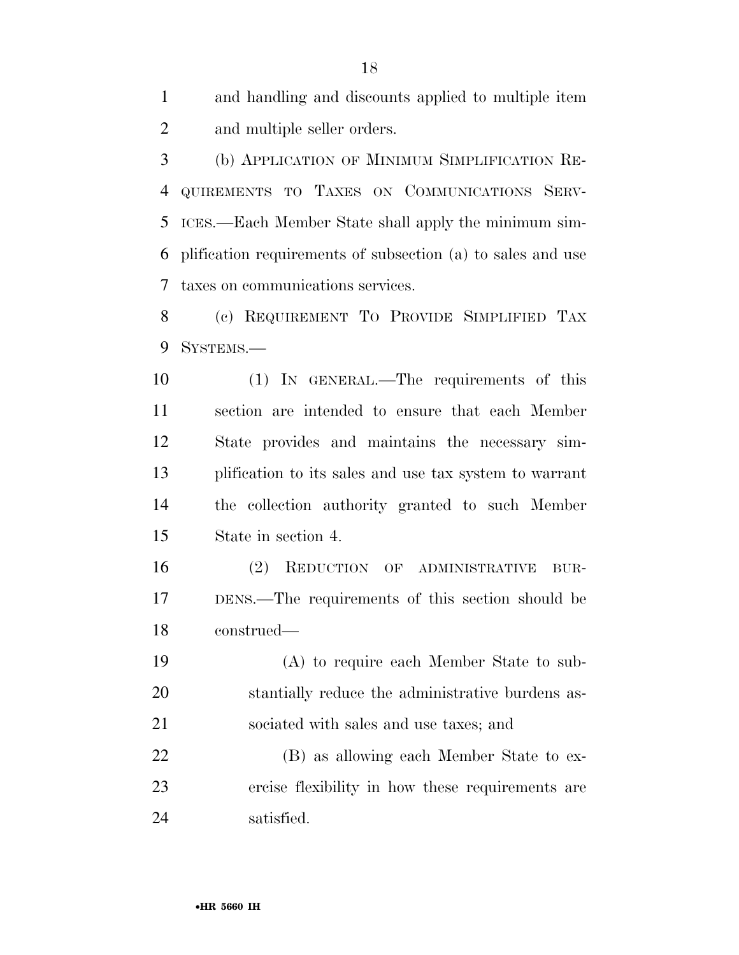and handling and discounts applied to multiple item and multiple seller orders.

 (b) APPLICATION OF MINIMUM SIMPLIFICATION RE- QUIREMENTS TO TAXES ON COMMUNICATIONS SERV- ICES.—Each Member State shall apply the minimum sim- plification requirements of subsection (a) to sales and use taxes on communications services.

 (c) REQUIREMENT TO PROVIDE SIMPLIFIED TAX SYSTEMS.—

 (1) IN GENERAL.—The requirements of this section are intended to ensure that each Member State provides and maintains the necessary sim- plification to its sales and use tax system to warrant the collection authority granted to such Member State in section 4.

 (2) REDUCTION OF ADMINISTRATIVE BUR- DENS.—The requirements of this section should be construed—

 (A) to require each Member State to sub- stantially reduce the administrative burdens as-sociated with sales and use taxes; and

 (B) as allowing each Member State to ex- ercise flexibility in how these requirements are satisfied.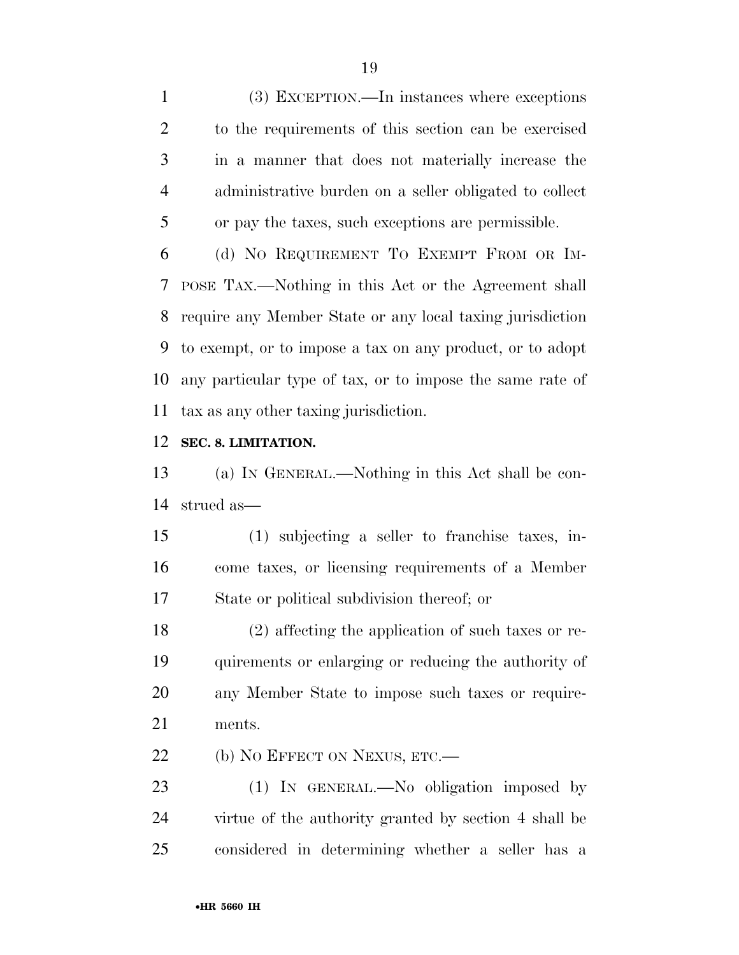(3) EXCEPTION.—In instances where exceptions to the requirements of this section can be exercised in a manner that does not materially increase the administrative burden on a seller obligated to collect or pay the taxes, such exceptions are permissible.

 (d) NO REQUIREMENT TO EXEMPT FROM OR IM- POSE TAX.—Nothing in this Act or the Agreement shall require any Member State or any local taxing jurisdiction to exempt, or to impose a tax on any product, or to adopt any particular type of tax, or to impose the same rate of tax as any other taxing jurisdiction.

#### **SEC. 8. LIMITATION.**

 (a) IN GENERAL.—Nothing in this Act shall be con-strued as—

 (1) subjecting a seller to franchise taxes, in- come taxes, or licensing requirements of a Member State or political subdivision thereof; or

 (2) affecting the application of such taxes or re- quirements or enlarging or reducing the authority of any Member State to impose such taxes or require-ments.

22 (b) NO EFFECT ON NEXUS, ETC.—

23 (1) IN GENERAL.—No obligation imposed by virtue of the authority granted by section 4 shall be considered in determining whether a seller has a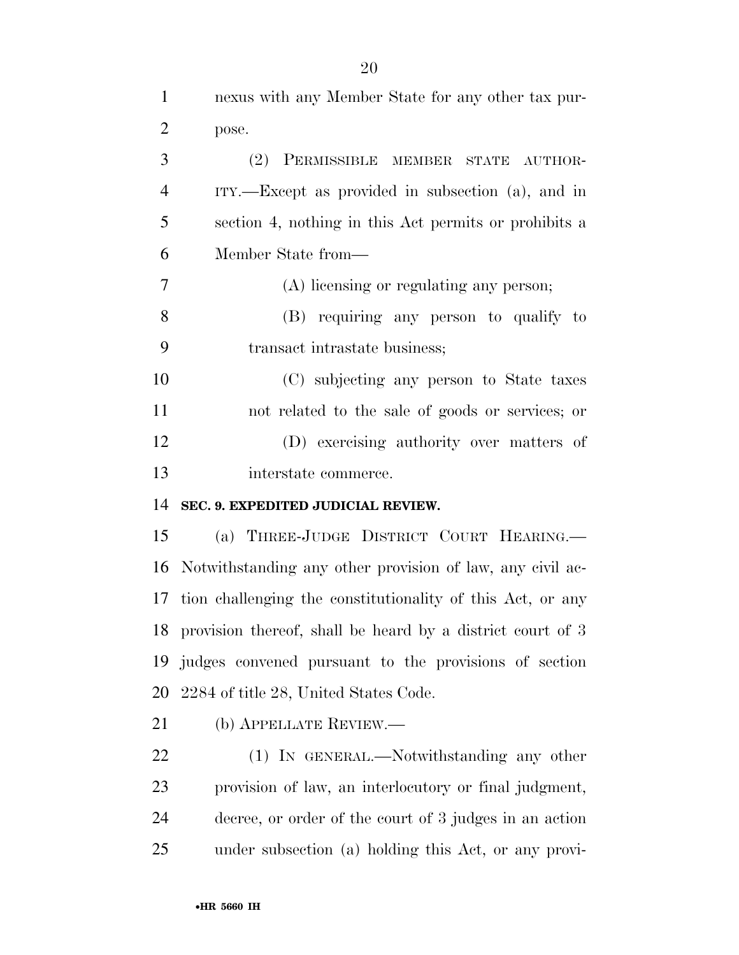| $\mathbf{1}$   | nexus with any Member State for any other tax pur-            |
|----------------|---------------------------------------------------------------|
| $\overline{2}$ | pose.                                                         |
| 3              | (2) PERMISSIBLE MEMBER STATE AUTHOR-                          |
| $\overline{4}$ | $ITY.$ Except as provided in subsection (a), and in           |
| 5              | section 4, nothing in this Act permits or prohibits a         |
| 6              | Member State from—                                            |
| $\tau$         | (A) licensing or regulating any person;                       |
| 8              | (B) requiring any person to qualify to                        |
| 9              | transact intrastate business;                                 |
| 10             | (C) subjecting any person to State taxes                      |
| 11             | not related to the sale of goods or services; or              |
| 12             | (D) exercising authority over matters of                      |
| 13             | interstate commerce.                                          |
| 14             | SEC. 9. EXPEDITED JUDICIAL REVIEW.                            |
| 15             | (a) THREE-JUDGE DISTRICT COURT HEARING.                       |
|                | 16 Notwithstanding any other provision of law, any civil ac-  |
| 17             | tion challenging the constitutionality of this Act, or any    |
|                | 18 provision thereof, shall be heard by a district court of 3 |
| 19             | judges convened pursuant to the provisions of section         |
| 20             | 2284 of title 28, United States Code.                         |
| 21             | (b) APPELLATE REVIEW.—                                        |
| 22             | (1) IN GENERAL.—Notwithstanding any other                     |
| 23             | provision of law, an interlocutory or final judgment,         |

 decree, or order of the court of 3 judges in an action under subsection (a) holding this Act, or any provi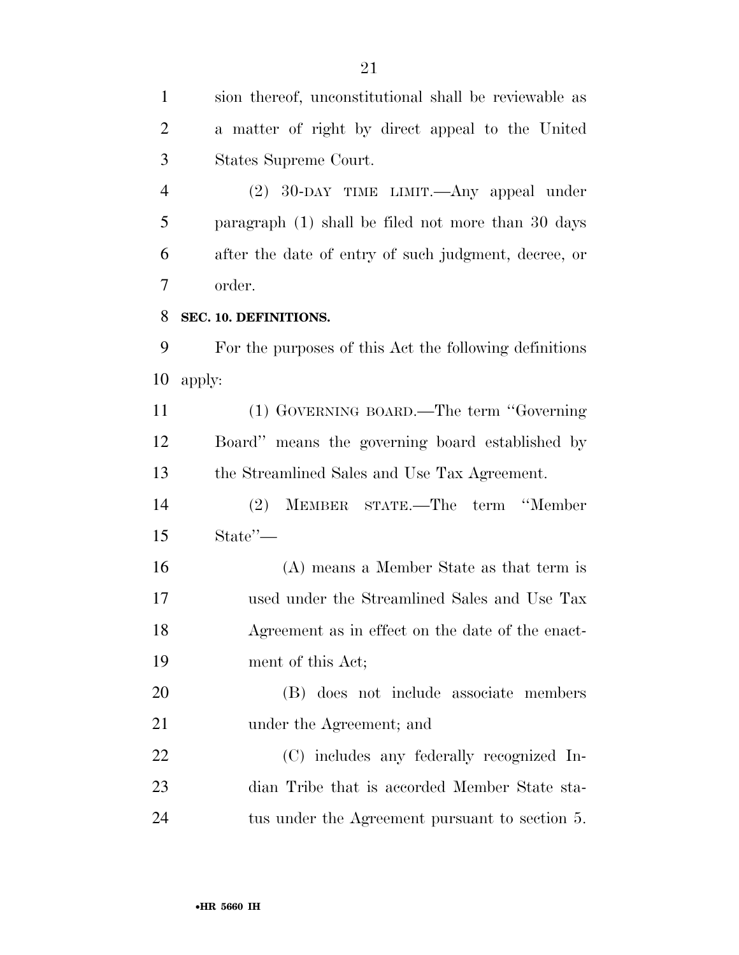sion thereof, unconstitutional shall be reviewable as a matter of right by direct appeal to the United States Supreme Court.

 (2) 30-DAY TIME LIMIT.—Any appeal under paragraph (1) shall be filed not more than 30 days after the date of entry of such judgment, decree, or order.

#### **SEC. 10. DEFINITIONS.**

 For the purposes of this Act the following definitions apply:

 (1) GOVERNING BOARD.—The term ''Governing Board'' means the governing board established by the Streamlined Sales and Use Tax Agreement.

 (2) MEMBER STATE.—The term ''Member State''—

 (A) means a Member State as that term is used under the Streamlined Sales and Use Tax Agreement as in effect on the date of the enact-ment of this Act;

 (B) does not include associate members 21 under the Agreement; and

 (C) includes any federally recognized In- dian Tribe that is accorded Member State sta-tus under the Agreement pursuant to section 5.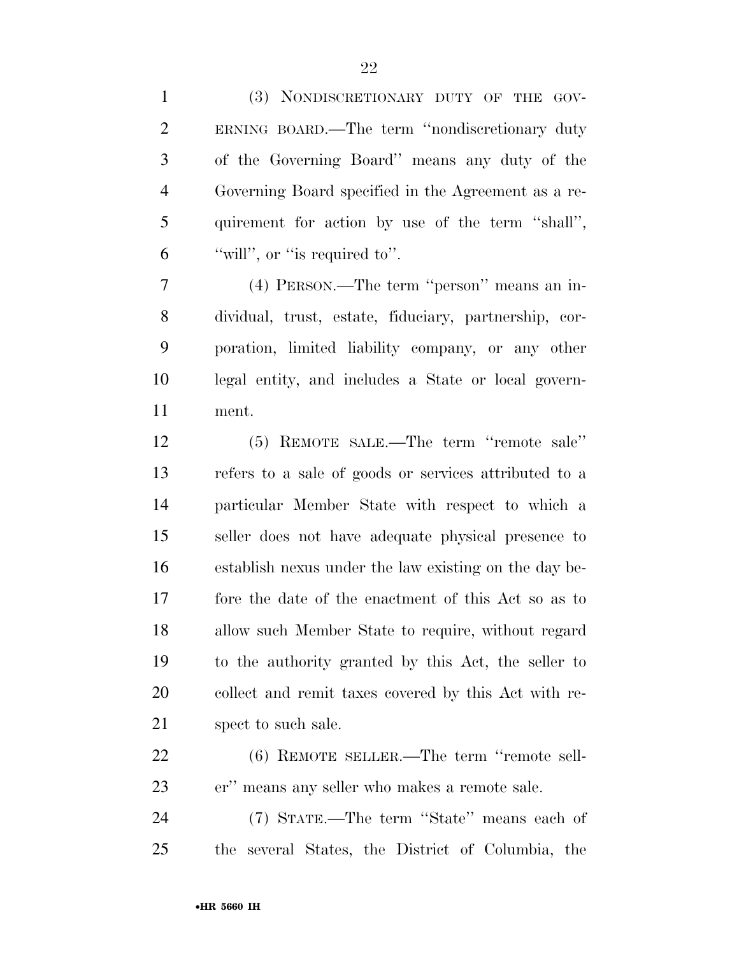(3) NONDISCRETIONARY DUTY OF THE GOV- ERNING BOARD.—The term ''nondiscretionary duty of the Governing Board'' means any duty of the Governing Board specified in the Agreement as a re- quirement for action by use of the term ''shall'', "will", or "is required to".

 (4) PERSON.—The term ''person'' means an in- dividual, trust, estate, fiduciary, partnership, cor- poration, limited liability company, or any other legal entity, and includes a State or local govern-ment.

 (5) REMOTE SALE.—The term ''remote sale'' refers to a sale of goods or services attributed to a particular Member State with respect to which a seller does not have adequate physical presence to establish nexus under the law existing on the day be- fore the date of the enactment of this Act so as to allow such Member State to require, without regard to the authority granted by this Act, the seller to collect and remit taxes covered by this Act with re-21 spect to such sale.

 (6) REMOTE SELLER.—The term ''remote sell-er'' means any seller who makes a remote sale.

 (7) STATE.—The term ''State'' means each of the several States, the District of Columbia, the